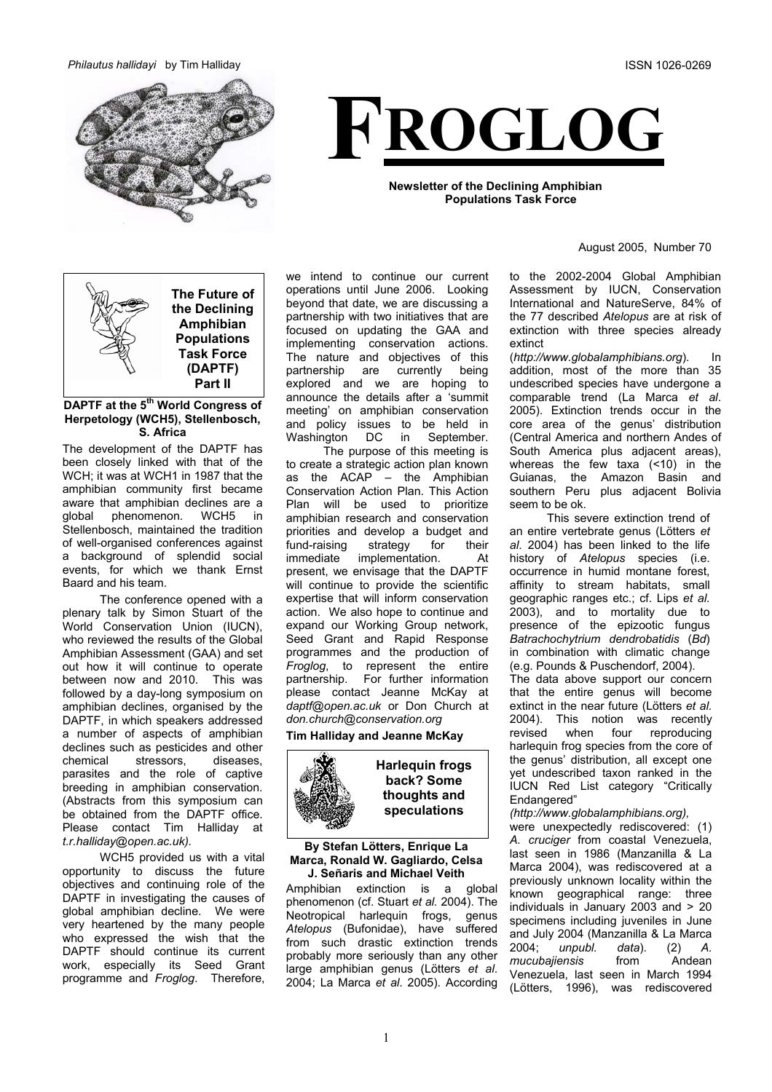**Philautus hallidayi** by Tim Halliday **ISSN 1026-0269** 155N 1026-0269





**Newsletter of the Declining Amphibian Populations Task Force**

#### August 2005, Number 70

**The Future of the Declining Amphibian Populations Task Force (DAPTF) Part II**

# **DAPTF at the 5<sup>th</sup> World Congress of Herpetology (WCH5), Stellenbosch, S. Africa**

The development of the DAPTF has been closely linked with that of the WCH; it was at WCH1 in 1987 that the amphibian community first became aware that amphibian declines are a global phenomenon. WCH5 in Stellenbosch, maintained the tradition of well-organised conferences against a background of splendid social events, for which we thank Ernst Baard and his team.

The conference opened with a plenary talk by Simon Stuart of the World Conservation Union (IUCN), who reviewed the results of the Global Amphibian Assessment (GAA) and set out how it will continue to operate between now and 2010. This was followed by a day-long symposium on amphibian declines, organised by the DAPTF, in which speakers addressed a number of aspects of amphibian declines such as pesticides and other chemical stressors, diseases, parasites and the role of captive breeding in amphibian conservation. (Abstracts from this symposium can be obtained from the DAPTF office. Please contact Tim Halliday at *t.r.halliday@open.ac.uk).* 

WCH5 provided us with a vital opportunity to discuss the future objectives and continuing role of the DAPTF in investigating the causes of global amphibian decline. We were very heartened by the many people who expressed the wish that the DAPTF should continue its current work, especially its Seed Grant programme and *Froglog*. Therefore,

we intend to continue our current operations until June 2006. Looking beyond that date, we are discussing a partnership with two initiatives that are focused on updating the GAA and implementing conservation actions. The nature and objectives of this partnership are currently being explored and we are hoping to announce the details after a 'summit meeting' on amphibian conservation and policy issues to be held in Washington DC in September.

The purpose of this meeting is to create a strategic action plan known as the ACAP – the Amphibian Conservation Action Plan. This Action Plan will be used to prioritize amphibian research and conservation priorities and develop a budget and fund-raising strategy for their immediate implementation. At present, we envisage that the DAPTF will continue to provide the scientific expertise that will inform conservation action. We also hope to continue and expand our Working Group network, Seed Grant and Rapid Response programmes and the production of *Froglog*, to represent the entire partnership. For further information please contact Jeanne McKay at *daptf@open.ac.uk* or Don Church at *don.church@conservation.org* 

# **Tim Halliday and Jeanne McKay**



**Harlequin frogs back? Some thoughts and speculations**

#### **By Stefan Lötters, Enrique La Marca, Ronald W. Gagliardo, Celsa J. Señaris and Michael Veith**

Amphibian extinction is a global phenomenon (cf. Stuart *et al.* 2004). The Neotropical harlequin frogs, genus *Atelopus* (Bufonidae), have suffered from such drastic extinction trends probably more seriously than any other large amphibian genus (Lötters *et al*. 2004; La Marca *et al*. 2005). According

to the 2002-2004 Global Amphibian Assessment by IUCN, Conservation International and NatureServe, 84% of the 77 described *Atelopus* are at risk of extinction with three species already extinct

(*http://www.globalamphibians.org*). In addition, most of the more than 35 undescribed species have undergone a comparable trend (La Marca *et al*. 2005). Extinction trends occur in the core area of the genus' distribution (Central America and northern Andes of South America plus adjacent areas), whereas the few taxa (<10) in the Guianas, the Amazon Basin and southern Peru plus adiacent Bolivia seem to be ok.

This severe extinction trend of an entire vertebrate genus (Lötters *et al*. 2004) has been linked to the life history of *Atelopus* species (i.e. occurrence in humid montane forest, affinity to stream habitats, small geographic ranges etc.; cf. Lips *et al.* 2003), and to mortality due to presence of the epizootic fungus *Batrachochytrium dendrobatidis* (*Bd*) in combination with climatic change (e.g. Pounds & Puschendorf, 2004).

The data above support our concern that the entire genus will become extinct in the near future (Lötters *et al.* 2004). This notion was recently<br>revised when four reproducing reproducing harlequin frog species from the core of the genus' distribution, all except one yet undescribed taxon ranked in the IUCN Red List category "Critically Endangered"

*(http://www.globalamphibians.org),*

were unexpectedly rediscovered: (1) *A. cruciger* from coastal Venezuela, last seen in 1986 (Manzanilla & La Marca 2004), was rediscovered at a previously unknown locality within the known geographical range: three individuals in January 2003 and > 20 specimens including juveniles in June and July 2004 (Manzanilla & La Marca 2004; *unpubl. data*). (2) *A. mucubajiensis* from Andean Venezuela, last seen in March 1994 (Lötters, 1996), was rediscovered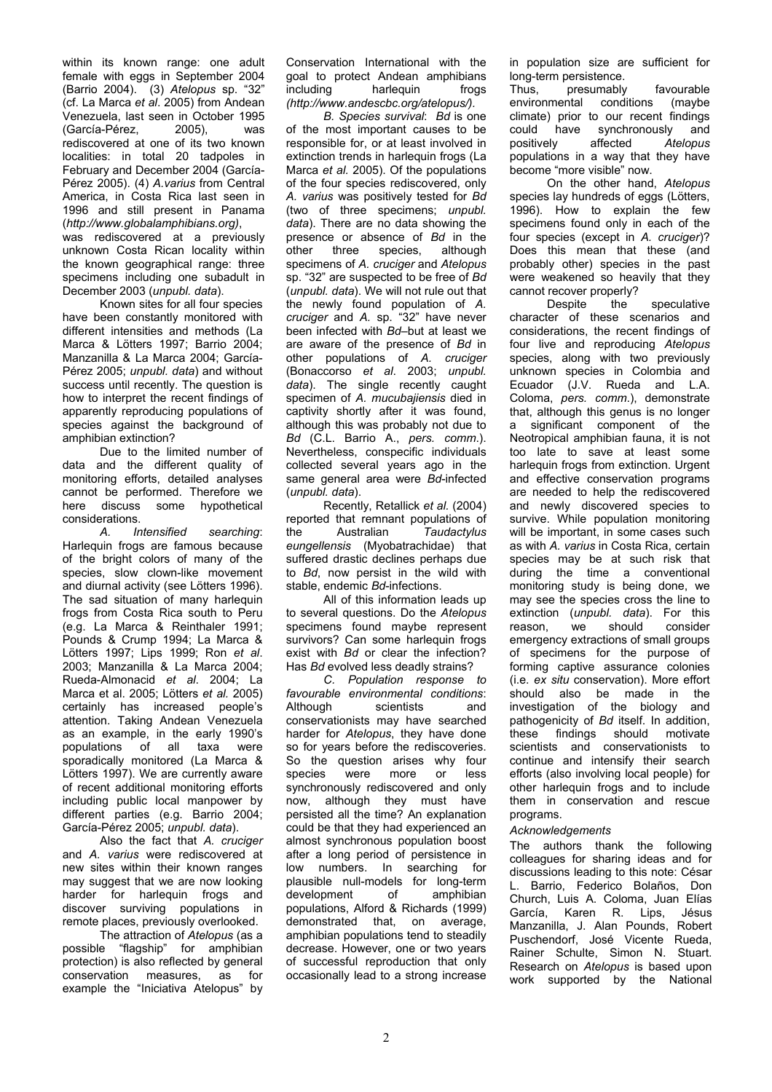within its known range: one adult female with eggs in September 2004 (Barrio 2004). (3) *Atelopus* sp. "32" (cf. La Marca *et al*. 2005) from Andean Venezuela, last seen in October 1995 (García-Pérez, 2005), was rediscovered at one of its two known localities: in total 20 tadpoles in February and December 2004 (García-Pérez 2005). (4) *A.varius* from Central America, in Costa Rica last seen in 1996 and still present in Panama (*http://www.globalamphibians.org)*, was rediscovered at a previously unknown Costa Rican locality within the known geographical range: three specimens including one subadult in December 2003 (*unpubl. data*).

Known sites for all four species have been constantly monitored with different intensities and methods (La Marca & Lötters 1997; Barrio 2004; Manzanilla & La Marca 2004; García-Pérez 2005; *unpubl. data*) and without success until recently. The question is how to interpret the recent findings of apparently reproducing populations of species against the background of amphibian extinction?

Due to the limited number of data and the different quality of monitoring efforts, detailed analyses cannot be performed. Therefore we here discuss some hypothetical considerations.<br>A. Intensified

*A. Intensified searching*: Harlequin frogs are famous because of the bright colors of many of the species, slow clown-like movement and diurnal activity (see Lötters 1996). The sad situation of many harlequin frogs from Costa Rica south to Peru (e.g. La Marca & Reinthaler 1991; Pounds & Crump 1994; La Marca & Lötters 1997; Lips 1999; Ron *et al*. 2003; Manzanilla & La Marca 2004; Rueda-Almonacid *et al*. 2004; La Marca et al. 2005; Lötters *et al.* 2005) certainly has increased people's attention. Taking Andean Venezuela as an example, in the early 1990's populations of all taxa were sporadically monitored (La Marca & Lötters 1997). We are currently aware of recent additional monitoring efforts including public local manpower by different parties (e.g. Barrio 2004; García-Pérez 2005; *unpubl. data*).

Also the fact that *A. cruciger* and *A. varius* were rediscovered at new sites within their known ranges may suggest that we are now looking harder for harlequin frogs and discover surviving populations in remote places, previously overlooked.

 The attraction of *Atelopus* (as a possible "flagship" for amphibian protection) is also reflected by general conservation measures, as for example the "Iniciativa Atelopus" by

Conservation International with the goal to protect Andean amphibians<br>including harlequin frogs harlequin frogs *(http://www.andescbc.org/atelopus/).*

*B. Species survival*: *Bd* is one of the most important causes to be responsible for, or at least involved in extinction trends in harlequin frogs (La Marca *et al.* 2005). Of the populations of the four species rediscovered, only *A. varius* was positively tested for *Bd* (two of three specimens; *unpubl. data*). There are no data showing the presence or absence of *Bd* in the other three species, although specimens of *A. cruciger* and *Atelopus* sp. "32" are suspected to be free of *Bd*  (*unpubl. data*). We will not rule out that the newly found population of *A. cruciger* and *A.* sp. "32" have never been infected with *Bd–*but at least we are aware of the presence of *Bd* in other populations of *A. cruciger* (Bonaccorso *et al*. 2003; *unpubl. data*). The single recently caught specimen of *A. mucubajiensis* died in captivity shortly after it was found, although this was probably not due to *Bd* (C.L. Barrio A., *pers. comm*.). Nevertheless, conspecific individuals collected several years ago in the same general area were *Bd*-infected (*unpubl. data*).

 Recently, Retallick *et al.* (2004) reported that remnant populations of<br>the Australian Taudactylus the Australian *Taudactylus eungellensis* (Myobatrachidae) that suffered drastic declines perhaps due to *Bd*, now persist in the wild with stable, endemic *Bd*-infections.

All of this information leads up to several questions. Do the *Atelopus* specimens found maybe represent survivors? Can some harlequin frogs exist with *Bd* or clear the infection? Has *Bd* evolved less deadly strains?

*C. Population response to favourable environmental conditions*: Although scientists and conservationists may have searched harder for *Atelopus*, they have done so for years before the rediscoveries. So the question arises why four species were more or less synchronously rediscovered and only now, although they must have persisted all the time? An explanation could be that they had experienced an almost synchronous population boost after a long period of persistence in low numbers. In searching for plausible null-models for long-term development of amphibian populations, Alford & Richards (1999) demonstrated that, on average, amphibian populations tend to steadily decrease. However, one or two years of successful reproduction that only occasionally lead to a strong increase in population size are sufficient for long-term persistence.

Thus, presumably favourable environmental conditions (maybe climate) prior to our recent findings could have synchronously and positively affected *Atelopus* populations in a way that they have become "more visible" now.

On the other hand, *Atelopus* species lay hundreds of eggs (Lötters, 1996). How to explain the few specimens found only in each of the four species (except in *A. cruciger*)? Does this mean that these (and probably other) species in the past were weakened so heavily that they cannot recover properly?

Despite the speculative character of these scenarios and considerations, the recent findings of four live and reproducing *Atelopus* species, along with two previously unknown species in Colombia and Ecuador (J.V. Rueda and L.A. Coloma, *pers. comm*.), demonstrate that, although this genus is no longer a significant component of the Neotropical amphibian fauna, it is not too late to save at least some harlequin frogs from extinction. Urgent and effective conservation programs are needed to help the rediscovered and newly discovered species to survive. While population monitoring will be important, in some cases such as with *A. varius* in Costa Rica, certain species may be at such risk that during the time a conventional monitoring study is being done, we may see the species cross the line to extinction (*unpubl. data*). For this reason, we should consider emergency extractions of small groups of specimens for the purpose of forming captive assurance colonies (i.e. *ex situ* conservation). More effort should also be made in the investigation of the biology and pathogenicity of *Bd* itself. In addition, these findings should motivate scientists and conservationists to continue and intensify their search efforts (also involving local people) for other harlequin frogs and to include them in conservation and rescue programs.

#### *Acknowledgements*

The authors thank the following colleagues for sharing ideas and for discussions leading to this note: César L. Barrio, Federico Bolaños, Don Church, Luis A. Coloma, Juan Elías García, Karen R. Lips, Jésus Manzanilla, J. Alan Pounds, Robert Puschendorf, José Vicente Rueda, Rainer Schulte, Simon N. Stuart. Research on *Atelopus* is based upon work supported by the National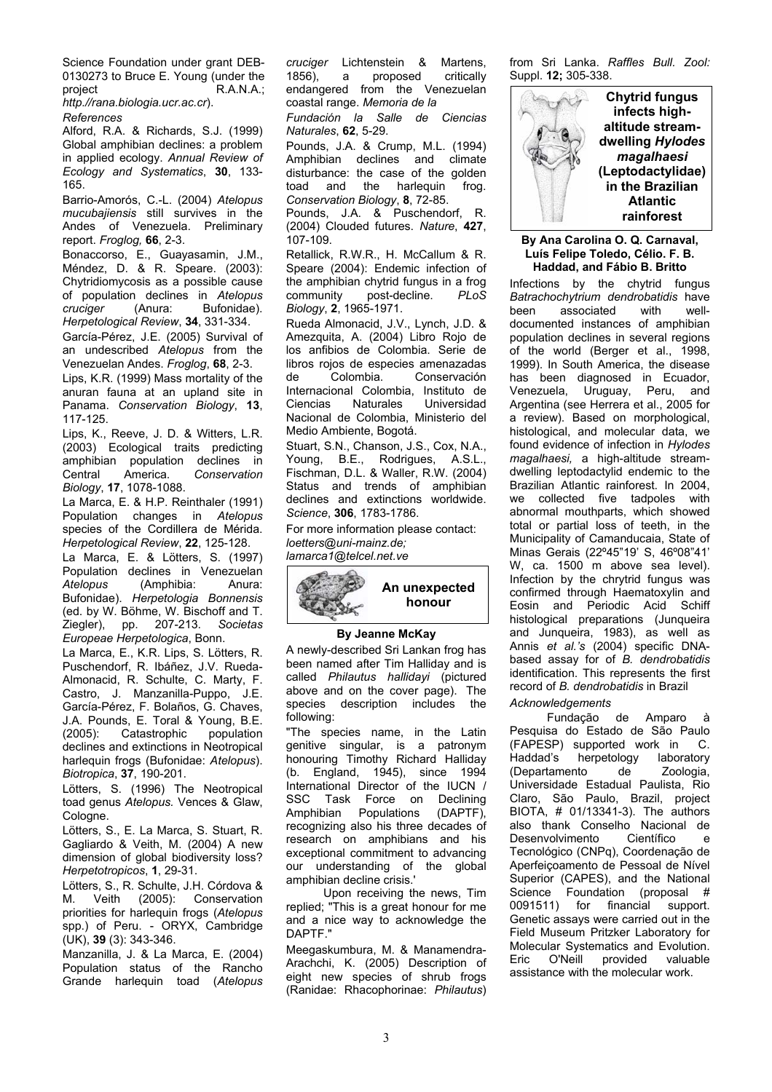Science Foundation under grant DEB-0130273 to Bruce E. Young (under the project R.A.N.A.; *http.//rana.biologia.ucr.ac.cr*).

*References* 

Alford, R.A. & Richards, S.J. (1999) Global amphibian declines: a problem in applied ecology. *Annual Review of Ecology and Systematics*, **30**, 133- 165.

Barrio-Amorós, C.-L. (2004) *Atelopus mucubajiensis* still survives in the Andes of Venezuela. Preliminary report. *Froglog,* **66**, 2-3.

Bonaccorso, E., Guayasamin, J.M., Méndez, D. & R. Speare. (2003): Chytridiomycosis as a possible cause of population declines in *Atelopus cruciger* (Anura: Bufonidae). *Herpetological Review*, **34**, 331-334.

García-Pérez, J.E. (2005) Survival of an undescribed *Atelopus* from the Venezuelan Andes. *Froglog*, **68**, 2-3.

Lips, K.R. (1999) Mass mortality of the anuran fauna at an upland site in Panama. *Conservation Biology*, **13**, 117-125.

Lips, K., Reeve, J. D. & Witters, L.R. (2003) Ecological traits predicting amphibian population declines in<br>Central America. Conservation  $Conservation$ *Biology*, **17**, 1078-1088.

La Marca, E. & H.P. Reinthaler (1991) Population changes in *Atelopus* species of the Cordillera de Mérida. *Herpetological Review*, **22**, 125-128.

La Marca, E. & Lötters, S. (1997) Population declines in Venezuelan *Atelopus* (Amphibia: Anura: Bufonidae). *Herpetologia Bonnensis* (ed. by W. Böhme, W. Bischoff and T. Ziegler), pp. 207-213. *Societas Europeae Herpetologica*, Bonn.

La Marca, E., K.R. Lips, S. Lötters, R. Puschendorf, R. Ibáñez, J.V. Rueda-Almonacid, R. Schulte, C. Marty, F. Castro, J. Manzanilla-Puppo, J.E. García-Pérez, F. Bolaños, G. Chaves, J.A. Pounds, E. Toral & Young, B.E. (2005): Catastrophic population declines and extinctions in Neotropical harlequin frogs (Bufonidae: *Atelopus*). *Biotropica*, **37**, 190-201.

Lötters, S. (1996) The Neotropical toad genus *Atelopus.* Vences & Glaw, Cologne.

Lötters, S., E. La Marca, S. Stuart, R. Gagliardo & Veith, M. (2004) A new dimension of global biodiversity loss? *Herpetotropicos*, **1**, 29-31.

Lötters, S., R. Schulte, J.H. Córdova & M. Veith (2005): Conservation priorities for harlequin frogs (*Atelopus* spp.) of Peru. - ORYX, Cambridge (UK), **39** (3): 343-346.

Manzanilla, J. & La Marca, E. (2004) Population status of the Rancho Grande harlequin toad (*Atelopus*

*cruciger* Lichtenstein & Martens, 1856), a proposed critically endangered from the Venezuelan coastal range. *Memoria de la Fundación la Salle de Ciencias Naturales*, **62**, 5-29.

Pounds, J.A. & Crump, M.L. (1994) Amphibian declines and climate disturbance: the case of the golden toad and the harlequin frog. *Conservation Biology*, **8**, 72-85.

Pounds, J.A. & Puschendorf, R. (2004) Clouded futures. *Nature*, **427**, 107-109.

Retallick, R.W.R., H. McCallum & R. Speare (2004): Endemic infection of the amphibian chytrid fungus in a frog community post-decline. *PLoS Biology*, **2**, 1965-1971.

Rueda Almonacid, J.V., Lynch, J.D. & Amezquita, A. (2004) Libro Rojo de los anfibios de Colombia. Serie de libros rojos de especies amenazadas de Colombia. Conservación Internacional Colombia, Instituto de Ciencias Naturales Universidad Nacional de Colombia, Ministerio del Medio Ambiente, Bogotá.

Stuart, S.N., Chanson, J.S., Cox, N.A., Young, B.E., Rodrigues, A.S.L., Fischman, D.L. & Waller, R.W. (2004) Status and trends of amphibian declines and extinctions worldwide. *Science*, **306**, 1783-1786.

For more information please contact: *loetters@uni-mainz.de; lamarca1@telcel.net.ve*



## **By Jeanne McKay**

A newly-described Sri Lankan frog has been named after Tim Halliday and is called *Philautus hallidayi* (pictured above and on the cover page). The species description includes the following:

"The species name, in the Latin genitive singular, is a patronym honouring Timothy Richard Halliday (b. England, 1945), since 1994 International Director of the IUCN / SSC Task Force on Declining Amphibian Populations (DAPTF), recognizing also his three decades of research on amphibians and his exceptional commitment to advancing our understanding of the global amphibian decline crisis.'

Upon receiving the news, Tim replied; "This is a great honour for me and a nice way to acknowledge the DAPTF."

Meegaskumbura, M. & Manamendra-Arachchi, K. (2005) Description of eight new species of shrub frogs (Ranidae: Rhacophorinae: *Philautus*) from Sri Lanka. *Raffles Bull. Zool:* Suppl. **12;** 305-338.



#### **By Ana Carolina O. Q. Carnaval, Luís Felipe Toledo, Célio. F. B. Haddad, and Fábio B. Britto**

Infections by the chytrid fungus *Batrachochytrium dendrobatidis* have been associated with welldocumented instances of amphibian population declines in several regions of the world (Berger et al., 1998, 1999). In South America, the disease has been diagnosed in Ecuador, Venezuela, Uruguay, Peru, and Argentina (see Herrera et al., 2005 for a review). Based on morphological, histological, and molecular data, we found evidence of infection in *Hylodes magalhaesi,* a high-altitude streamdwelling leptodactylid endemic to the Brazilian Atlantic rainforest. In 2004, we collected five tadpoles with abnormal mouthparts, which showed total or partial loss of teeth, in the Municipality of Camanducaia, State of Minas Gerais (22º45"19' S, 46º08"41' W, ca. 1500 m above sea level). Infection by the chrytrid fungus was confirmed through Haematoxylin and Eosin and Periodic Acid Schiff histological preparations (Junqueira and Junqueira, 1983), as well as Annis *et al.'s* (2004) specific DNAbased assay for of *B. dendrobatidis* identification. This represents the first record of *B. dendrobatidis* in Brazil

# *Acknowledgements*

Fundação de Amparo à Pesquisa do Estado de São Paulo (FAPESP) supported work in C. herpetology (Departamento de Zoologia, Universidade Estadual Paulista, Rio Claro, São Paulo, Brazil, project BIOTA, # 01/13341-3). The authors also thank Conselho Nacional de Desenvolvimento Científico e Tecnológico (CNPq), Coordenação de Aperfeiçoamento de Pessoal de Nível Superior (CAPES), and the National Science Foundation (proposal # 0091511) for financial support. Genetic assays were carried out in the Field Museum Pritzker Laboratory for Molecular Systematics and Evolution. Eric O'Neill provided valuable assistance with the molecular work.